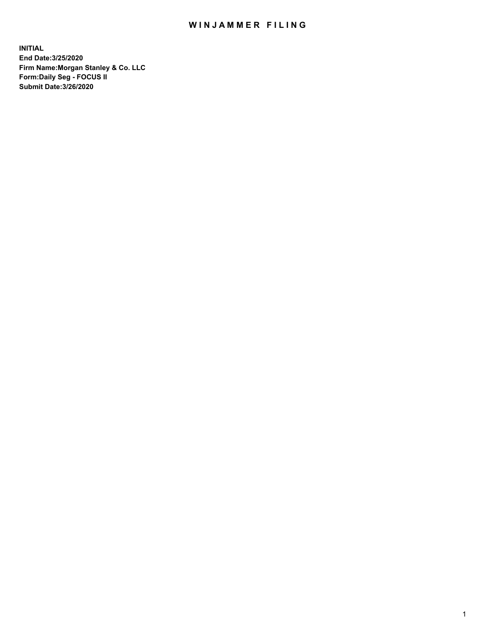## WIN JAMMER FILING

**INITIAL End Date:3/25/2020 Firm Name:Morgan Stanley & Co. LLC Form:Daily Seg - FOCUS II Submit Date:3/26/2020**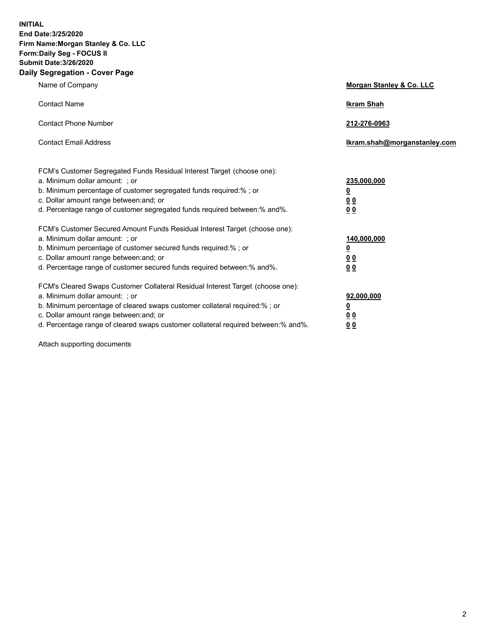**INITIAL End Date:3/25/2020 Firm Name:Morgan Stanley & Co. LLC Form:Daily Seg - FOCUS II Submit Date:3/26/2020 Daily Segregation - Cover Page**

| Name of Company                                                                                                                                                                                                                                                                                                                | <b>Morgan Stanley &amp; Co. LLC</b>                    |
|--------------------------------------------------------------------------------------------------------------------------------------------------------------------------------------------------------------------------------------------------------------------------------------------------------------------------------|--------------------------------------------------------|
| <b>Contact Name</b>                                                                                                                                                                                                                                                                                                            | <b>Ikram Shah</b>                                      |
| <b>Contact Phone Number</b>                                                                                                                                                                                                                                                                                                    | 212-276-0963                                           |
| <b>Contact Email Address</b>                                                                                                                                                                                                                                                                                                   | Ikram.shah@morganstanley.com                           |
| FCM's Customer Segregated Funds Residual Interest Target (choose one):<br>a. Minimum dollar amount: : or<br>b. Minimum percentage of customer segregated funds required:%; or<br>c. Dollar amount range between: and; or<br>d. Percentage range of customer segregated funds required between:% and%.                          | 235,000,000<br><u>0</u><br><u>00</u><br><u>00</u>      |
| FCM's Customer Secured Amount Funds Residual Interest Target (choose one):<br>a. Minimum dollar amount: ; or<br>b. Minimum percentage of customer secured funds required:%; or<br>c. Dollar amount range between: and; or<br>d. Percentage range of customer secured funds required between:% and%.                            | 140,000,000<br><u>0</u><br><u>00</u><br>0 <sub>0</sub> |
| FCM's Cleared Swaps Customer Collateral Residual Interest Target (choose one):<br>a. Minimum dollar amount: ; or<br>b. Minimum percentage of cleared swaps customer collateral required:% ; or<br>c. Dollar amount range between: and; or<br>d. Percentage range of cleared swaps customer collateral required between:% and%. | 92,000,000<br><u>0</u><br><u>00</u><br>00              |

Attach supporting documents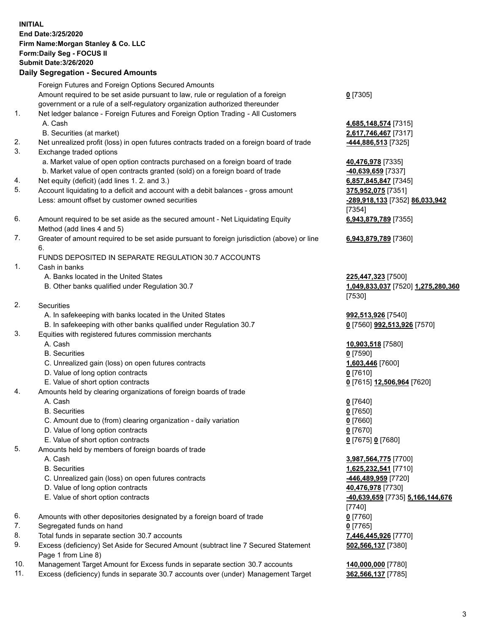## **INITIAL End Date:3/25/2020 Firm Name:Morgan Stanley & Co. LLC Form:Daily Seg - FOCUS II Submit Date:3/26/2020 Daily Segregation - Secured Amounts** Foreign Futures and Foreign Options Secured Amounts Amount required to be set aside pursuant to law, rule or regulation of a foreign government or a rule of a self-regulatory organization authorized thereunder 1. Net ledger balance - Foreign Futures and Foreign Option Trading - All Customers A. Cash **4,685,148,574** [7315] B. Securities (at market) **2,617,746,467** [7317] 2. Net unrealized profit (loss) in open futures contracts traded on a foreign board of trade **-444,886,513** [7325] 3. Exchange traded options a. Market value of open option contracts purchased on a foreign board of trade **40,476,978** [7335] b. Market value of open contracts granted (sold) on a foreign board of trade **-40,639,659** [7337] 4. Net equity (deficit) (add lines 1. 2. and 3.) **6,857,845,847** [7345] 5. Account liquidating to a deficit and account with a debit balances - gross amount **375,952,075** [7351] Less: amount offset by customer owned securities **-289,918,133** [7352] **86,033,942** 6. Amount required to be set aside as the secured amount - Net Liquidating Equity Method (add lines 4 and 5) 7. Greater of amount required to be set aside pursuant to foreign jurisdiction (above) or line 6. FUNDS DEPOSITED IN SEPARATE REGULATION 30.7 ACCOUNTS 1. Cash in banks A. Banks located in the United States **225,447,323** [7500] B. Other banks qualified under Regulation 30.7 **1,049,833,037** [7520] **1,275,280,360** 2. Securities A. In safekeeping with banks located in the United States **992,513,926** [7540] B. In safekeeping with other banks qualified under Regulation 30.7 **0** [7560] **992,513,926** [7570] 3. Equities with registered futures commission merchants A. Cash **10,903,518** [7580] B. Securities **0** [7590] C. Unrealized gain (loss) on open futures contracts **1,603,446** [7600] D. Value of long option contracts **0** [7610] E. Value of short option contracts **0** [7615] **12,506,964** [7620] 4. Amounts held by clearing organizations of foreign boards of trade A. Cash **0** [7640] B. Securities **0** [7650] C. Amount due to (from) clearing organization - daily variation **0** [7660] D. Value of long option contracts **0** [7670] E. Value of short option contracts **0** [7675] **0** [7680] 5. Amounts held by members of foreign boards of trade A. Cash **3,987,564,775** [7700] B. Securities **1,625,232,541** [7710] C. Unrealized gain (loss) on open futures contracts **-446,489,959** [7720] D. Value of long option contracts **40,476,978** [7730] E. Value of short option contracts **-40,639,659** [7735] **5,166,144,676** 6. Amounts with other depositories designated by a foreign board of trade **0** [7760] 7. Segregated funds on hand **0** [7765]

- 8. Total funds in separate section 30.7 accounts **7,446,445,926** [7770]
- 9. Excess (deficiency) Set Aside for Secured Amount (subtract line 7 Secured Statement Page 1 from Line 8)
- 10. Management Target Amount for Excess funds in separate section 30.7 accounts **140,000,000** [7780]
- 11. Excess (deficiency) funds in separate 30.7 accounts over (under) Management Target **362,566,137** [7785]

**0** [7305]

[7354] **6,943,879,789** [7355]

**6,943,879,789** [7360]

[7530]

[7740] **502,566,137** [7380]

3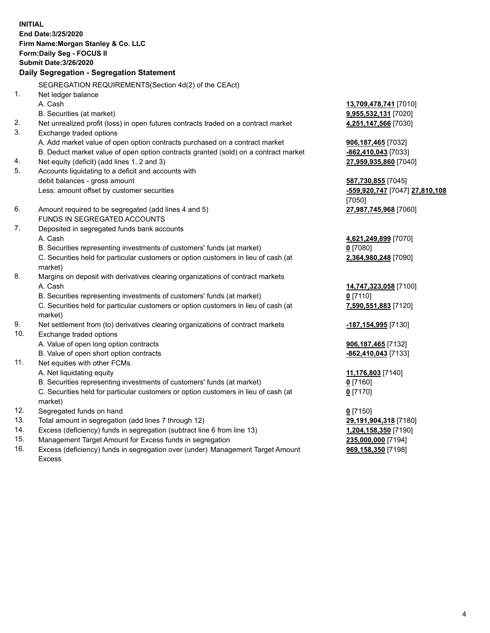**INITIAL End Date:3/25/2020 Firm Name:Morgan Stanley & Co. LLC Form:Daily Seg - FOCUS II Submit Date:3/26/2020 Daily Segregation - Segregation Statement** SEGREGATION REQUIREMENTS(Section 4d(2) of the CEAct) 1. Net ledger balance A. Cash **13,709,478,741** [7010] B. Securities (at market) **9,955,532,131** [7020] 2. Net unrealized profit (loss) in open futures contracts traded on a contract market **4,251,147,566** [7030] 3. Exchange traded options A. Add market value of open option contracts purchased on a contract market **906,187,465** [7032] B. Deduct market value of open option contracts granted (sold) on a contract market **-862,410,043** [7033] 4. Net equity (deficit) (add lines 1, 2 and 3) **27,959,935,860** [7040] 5. Accounts liquidating to a deficit and accounts with debit balances - gross amount **587,730,855** [7045] Less: amount offset by customer securities **-559,920,747** [7047] **27,810,108** [7050] 6. Amount required to be segregated (add lines 4 and 5) **27,987,745,968** [7060] FUNDS IN SEGREGATED ACCOUNTS 7. Deposited in segregated funds bank accounts A. Cash **4,621,249,899** [7070] B. Securities representing investments of customers' funds (at market) **0** [7080] C. Securities held for particular customers or option customers in lieu of cash (at market) **2,364,980,248** [7090] 8. Margins on deposit with derivatives clearing organizations of contract markets A. Cash **14,747,323,058** [7100] B. Securities representing investments of customers' funds (at market) **0** [7110] C. Securities held for particular customers or option customers in lieu of cash (at market) **7,590,551,883** [7120] 9. Net settlement from (to) derivatives clearing organizations of contract markets **-187,154,995** [7130] 10. Exchange traded options A. Value of open long option contracts **906,187,465** [7132] B. Value of open short option contracts **-862,410,043** [7133] 11. Net equities with other FCMs A. Net liquidating equity **11,176,803** [7140] B. Securities representing investments of customers' funds (at market) **0** [7160] C. Securities held for particular customers or option customers in lieu of cash (at market) **0** [7170] 12. Segregated funds on hand **0** [7150] 13. Total amount in segregation (add lines 7 through 12) **29,191,904,318** [7180] 14. Excess (deficiency) funds in segregation (subtract line 6 from line 13) **1,204,158,350** [7190] 15. Management Target Amount for Excess funds in segregation **235,000,000** [7194]

16. Excess (deficiency) funds in segregation over (under) Management Target Amount Excess

**969,158,350** [7198]